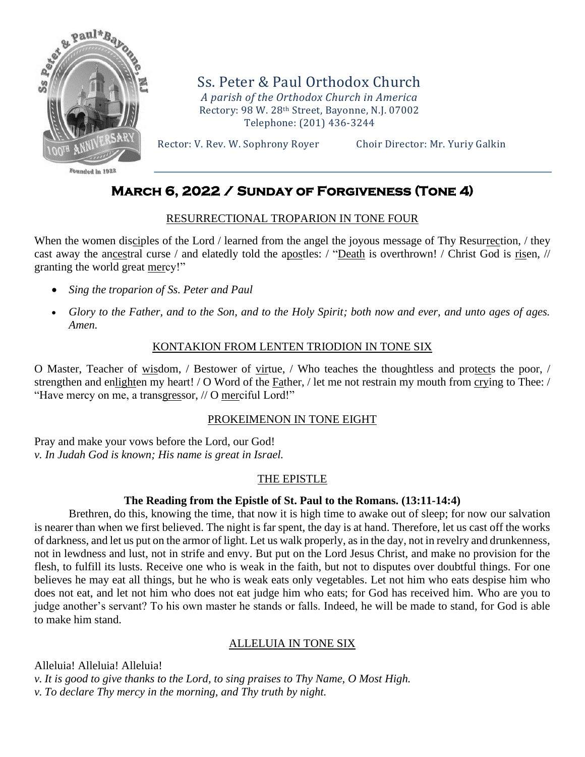

Founded in 1927

Ss. Peter & Paul Orthodox Church *A parish of the Orthodox Church in America* Rectory: 98 W. 28th Street, Bayonne, N.J. 07002 Telephone: (201) 436-3244

Rector: V. Rev. W. Sophrony Royer Choir Director: Mr. Yuriy Galkin

# **March 6, 2022 / Sunday of Forgiveness (Tone 4)**

#### RESURRECTIONAL TROPARION IN TONE FOUR

When the women disciples of the Lord / learned from the angel the joyous message of Thy Resurrection, / they cast away the ancestral curse / and elatedly told the apostles: / "Death is overthrown! / Christ God is risen, // granting the world great mercy!"

- *Sing the troparion of Ss. Peter and Paul*
- *Glory to the Father, and to the Son, and to the Holy Spirit; both now and ever, and unto ages of ages. Amen.*

# KONTAKION FROM LENTEN TRIODION IN TONE SIX

O Master, Teacher of wisdom, / Bestower of virtue, / Who teaches the thoughtless and protects the poor, / strengthen and enlighten my heart! / O Word of the Father, / let me not restrain my mouth from crying to Thee: / "Have mercy on me, a transgressor, // O merciful Lord!"

#### PROKEIMENON IN TONE EIGHT

Pray and make your vows before the Lord, our God! *v. In Judah God is known; His name is great in Israel.*

# THE EPISTLE

#### **The Reading from the Epistle of St. Paul to the Romans. (13:11-14:4)**

Brethren, do this, knowing the time, that now it is high time to awake out of sleep; for now our salvation is nearer than when we first believed. The night is far spent, the day is at hand. Therefore, let us cast off the works of darkness, and let us put on the armor of light. Let us walk properly, as in the day, not in revelry and drunkenness, not in lewdness and lust, not in strife and envy. But put on the Lord Jesus Christ, and make no provision for the flesh, to fulfill its lusts. Receive one who is weak in the faith, but not to disputes over doubtful things. For one believes he may eat all things, but he who is weak eats only vegetables. Let not him who eats despise him who does not eat, and let not him who does not eat judge him who eats; for God has received him. Who are you to judge another's servant? To his own master he stands or falls. Indeed, he will be made to stand, for God is able to make him stand.

# ALLELUIA IN TONE SIX

Alleluia! Alleluia! Alleluia! *v. It is good to give thanks to the Lord, to sing praises to Thy Name, O Most High. v. To declare Thy mercy in the morning, and Thy truth by night.*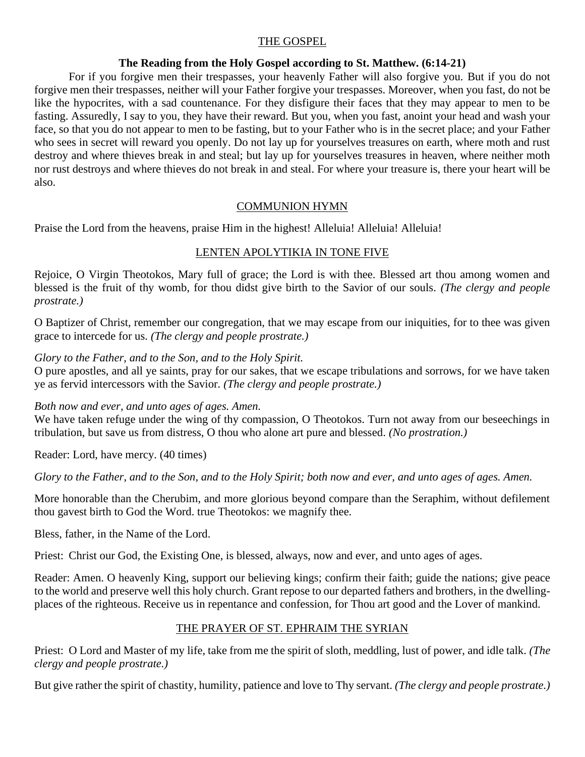# THE GOSPEL

# **The Reading from the Holy Gospel according to St. Matthew. (6:14-21)**

For if you forgive men their trespasses, your heavenly Father will also forgive you. But if you do not forgive men their trespasses, neither will your Father forgive your trespasses. Moreover, when you fast, do not be like the hypocrites, with a sad countenance. For they disfigure their faces that they may appear to men to be fasting. Assuredly, I say to you, they have their reward. But you, when you fast, anoint your head and wash your face, so that you do not appear to men to be fasting, but to your Father who is in the secret place; and your Father who sees in secret will reward you openly. Do not lay up for yourselves treasures on earth, where moth and rust destroy and where thieves break in and steal; but lay up for yourselves treasures in heaven, where neither moth nor rust destroys and where thieves do not break in and steal. For where your treasure is, there your heart will be also.

# COMMUNION HYMN

Praise the Lord from the heavens, praise Him in the highest! Alleluia! Alleluia! Alleluia!

# LENTEN APOLYTIKIA IN TONE FIVE

Rejoice, O Virgin Theotokos, Mary full of grace; the Lord is with thee. Blessed art thou among women and blessed is the fruit of thy womb, for thou didst give birth to the Savior of our souls. *(The clergy and people prostrate.)*

O Baptizer of Christ, remember our congregation, that we may escape from our iniquities, for to thee was given grace to intercede for us. *(The clergy and people prostrate.)*

*Glory to the Father, and to the Son, and to the Holy Spirit.*

O pure apostles, and all ye saints, pray for our sakes, that we escape tribulations and sorrows, for we have taken ye as fervid intercessors with the Savior. *(The clergy and people prostrate.)*

*Both now and ever, and unto ages of ages. Amen.*

We have taken refuge under the wing of thy compassion, O Theotokos. Turn not away from our beseechings in tribulation, but save us from distress, O thou who alone art pure and blessed. *(No prostration.)*

Reader: Lord, have mercy. (40 times)

*Glory to the Father, and to the Son, and to the Holy Spirit; both now and ever, and unto ages of ages. Amen.*

More honorable than the Cherubim, and more glorious beyond compare than the Seraphim, without defilement thou gavest birth to God the Word. true Theotokos: we magnify thee.

Bless, father, in the Name of the Lord.

Priest: Christ our God, the Existing One, is blessed, always, now and ever, and unto ages of ages.

Reader: Amen. O heavenly King, support our believing kings; confirm their faith; guide the nations; give peace to the world and preserve well this holy church. Grant repose to our departed fathers and brothers, in the dwellingplaces of the righteous. Receive us in repentance and confession, for Thou art good and the Lover of mankind.

# THE PRAYER OF ST. EPHRAIM THE SYRIAN

Priest: O Lord and Master of my life, take from me the spirit of sloth, meddling, lust of power, and idle talk. *(The clergy and people prostrate.)*

But give rather the spirit of chastity, humility, patience and love to Thy servant. *(The clergy and people prostrate.)*